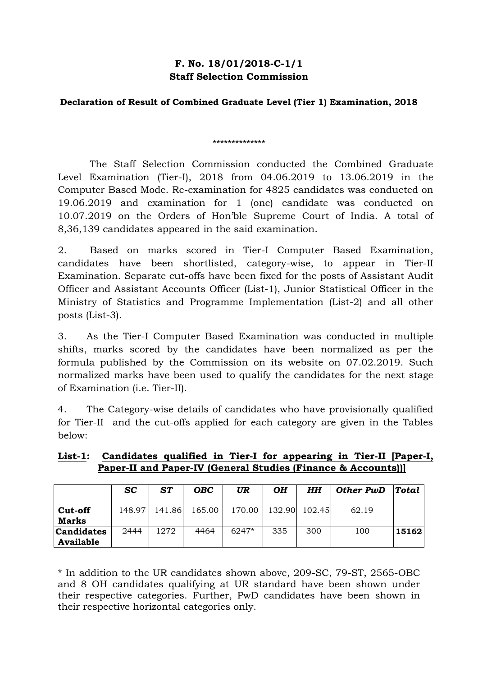## **F. No. 18/01/2018-C-1/1 Staff Selection Commission**

## **Declaration of Result of Combined Graduate Level (Tier 1) Examination, 2018**

## \*\*\*\*\*\*\*\*\*\*\*\*\*\*

The Staff Selection Commission conducted the Combined Graduate Level Examination (Tier-I), 2018 from 04.06.2019 to 13.06.2019 in the Computer Based Mode. Re-examination for 4825 candidates was conducted on 19.06.2019 and examination for 1 (one) candidate was conducted on 10.07.2019 on the Orders of Hon'ble Supreme Court of India. A total of 8,36,139 candidates appeared in the said examination.

2. Based on marks scored in Tier-I Computer Based Examination, candidates have been shortlisted, category-wise, to appear in Tier-II Examination. Separate cut-offs have been fixed for the posts of Assistant Audit Officer and Assistant Accounts Officer (List-1), Junior Statistical Officer in the Ministry of Statistics and Programme Implementation (List-2) and all other posts (List-3).

3. As the Tier-I Computer Based Examination was conducted in multiple shifts, marks scored by the candidates have been normalized as per the formula published by the Commission on its website on 07.02.2019. Such normalized marks have been used to qualify the candidates for the next stage of Examination (i.e. Tier-II).

4. The Category-wise details of candidates who have provisionally qualified for Tier-II and the cut-offs applied for each category are given in the Tables below:

|                                | SC     | ST     | OBC    | UR     | <b>OH</b> | HН     | Other PwD | <b>Total</b> |
|--------------------------------|--------|--------|--------|--------|-----------|--------|-----------|--------------|
| Cut-off<br>Marks               | 148.97 | 141.86 | 165.00 | 170.00 | 132.90    | 102.45 | 62.19     |              |
| <b>Candidates</b><br>Available | 2444   | 1272   | 4464   | 6247*  | 335       | 300    | 100       | 15162        |

## **List-1: Candidates qualified in Tier-I for appearing in Tier-II [Paper-I, Paper-II and Paper-IV (General Studies (Finance & Accounts))]**

\* In addition to the UR candidates shown above, 209-SC, 79-ST, 2565-OBC and 8 OH candidates qualifying at UR standard have been shown under their respective categories. Further, PwD candidates have been shown in their respective horizontal categories only.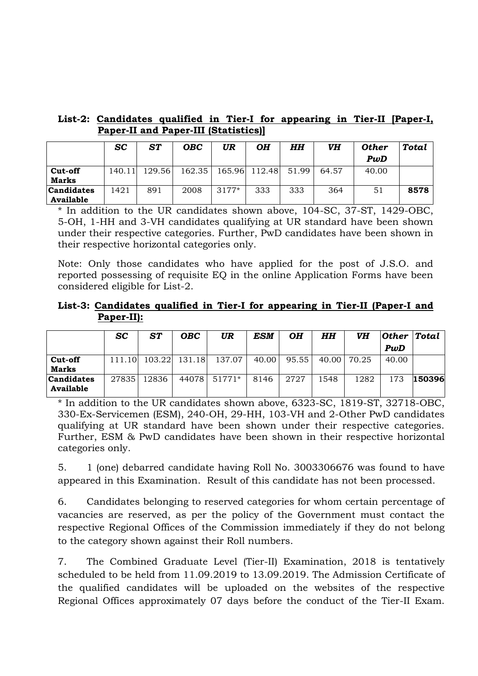| List-2: Candidates qualified in Tier-I for appearing in Tier-II [Paper-I, |  |  |  |  |
|---------------------------------------------------------------------------|--|--|--|--|
| <b>Paper-II and Paper-III (Statistics)]</b>                               |  |  |  |  |

|            | <b>SC</b> | ST     | OBC    | UR    | OH            | HH    | VH    | <b>Other</b> | Total |
|------------|-----------|--------|--------|-------|---------------|-------|-------|--------------|-------|
|            |           |        |        |       |               |       |       | PwD          |       |
| Cut-off    | 140.11    | 129.56 | 162.35 |       | 165.96 112.48 | 51.99 | 64.57 | 40.00        |       |
| Marks      |           |        |        |       |               |       |       |              |       |
| Candidates | 1421      | 891    | 2008   | 3177* | 333           | 333   | 364   | 51           | 8578  |
| Available  |           |        |        |       |               |       |       |              |       |

\* In addition to the UR candidates shown above, 104-SC, 37-ST, 1429-OBC, 5-OH, 1-HH and 3-VH candidates qualifying at UR standard have been shown under their respective categories. Further, PwD candidates have been shown in their respective horizontal categories only.

Note: Only those candidates who have applied for the post of J.S.O. and reported possessing of requisite EQ in the online Application Forms have been considered eligible for List-2.

**List-3: Candidates qualified in Tier-I for appearing in Tier-II (Paper-I and Paper-II):**

|                   | <b>SC</b> | ST     | <b>OBC</b> | UR     | ESM   | OН    | HH    | VH    | Other | $\bf Total$ |
|-------------------|-----------|--------|------------|--------|-------|-------|-------|-------|-------|-------------|
|                   |           |        |            |        |       |       |       |       | PwD   |             |
| Cut-off           | 111.10    | 103.22 | 131.18     | 137.07 | 40.00 | 95.55 | 40.00 | 70.25 | 40.00 |             |
| Marks             |           |        |            |        |       |       |       |       |       |             |
| <b>Candidates</b> | 27835     | 12836  | 44078      | 51771* | 8146  | 2727  | 1548  | 1282  | 173   | 150396      |
| Available         |           |        |            |        |       |       |       |       |       |             |

\* In addition to the UR candidates shown above, 6323-SC, 1819-ST, 32718-OBC, 330-Ex-Servicemen (ESM), 240-OH, 29-HH, 103-VH and 2-Other PwD candidates qualifying at UR standard have been shown under their respective categories. Further, ESM & PwD candidates have been shown in their respective horizontal categories only.

5. 1 (one) debarred candidate having Roll No. 3003306676 was found to have appeared in this Examination. Result of this candidate has not been processed.

6. Candidates belonging to reserved categories for whom certain percentage of vacancies are reserved, as per the policy of the Government must contact the respective Regional Offices of the Commission immediately if they do not belong to the category shown against their Roll numbers.

7. The Combined Graduate Level (Tier-II) Examination, 2018 is tentatively scheduled to be held from 11.09.2019 to 13.09.2019. The Admission Certificate of the qualified candidates will be uploaded on the websites of the respective Regional Offices approximately 07 days before the conduct of the Tier-II Exam.